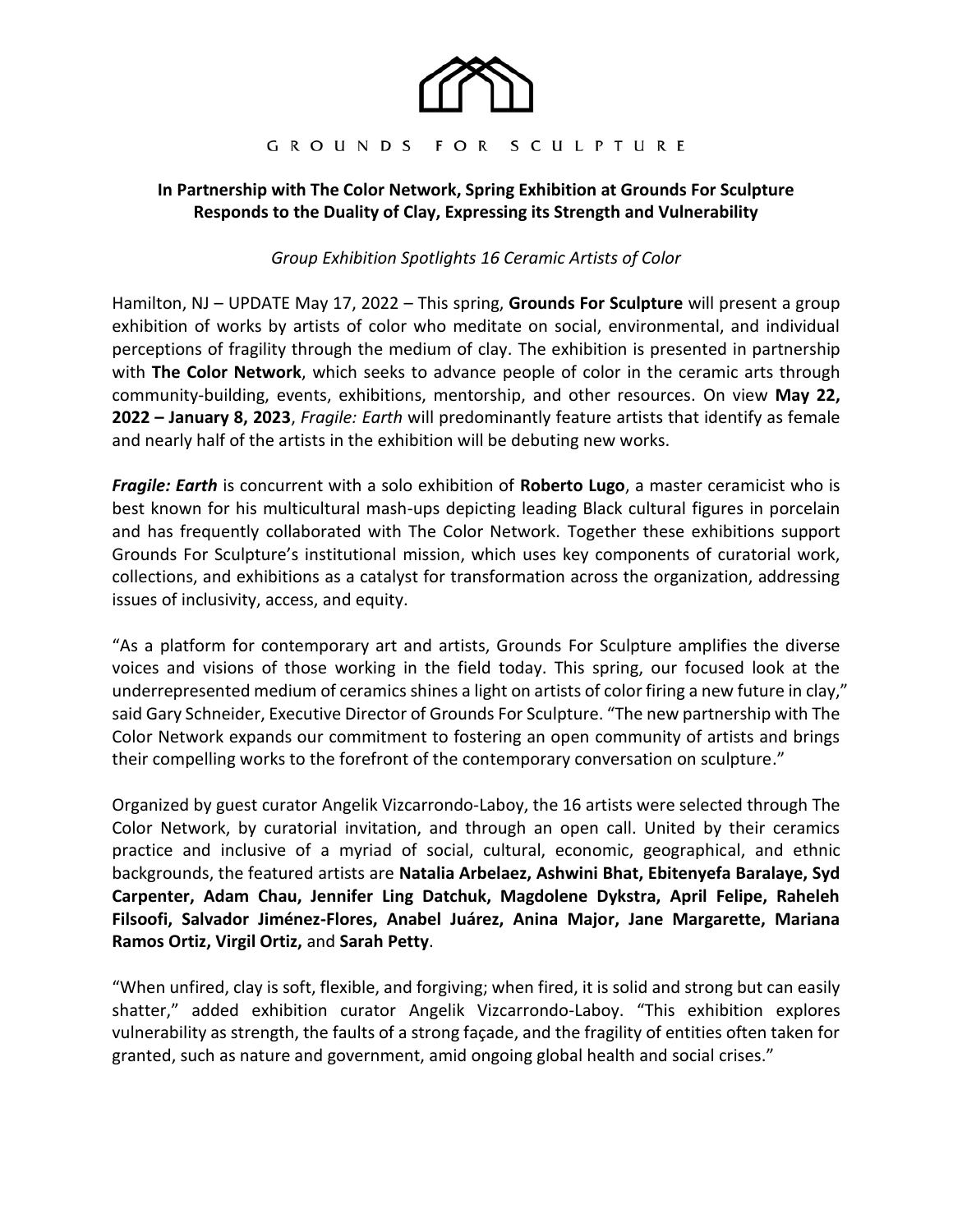

#### GROUNDS FOR SCULPTURE

## **In Partnership with The Color Network, Spring Exhibition at Grounds For Sculpture Responds to the Duality of Clay, Expressing its Strength and Vulnerability**

*Group Exhibition Spotlights 16 Ceramic Artists of Color* 

Hamilton, NJ – UPDATE May 17, 2022 – This spring, **Grounds For Sculpture** will present a group exhibition of works by artists of color who meditate on social, environmental, and individual perceptions of fragility through the medium of clay. The exhibition is presented in partnership with **The Color Network**, which seeks to advance people of color in the ceramic arts through community-building, events, exhibitions, mentorship, and other resources. On view **May 22, 2022 – January 8, 2023**, *Fragile: Earth* will predominantly feature artists that identify as female and nearly half of the artists in the exhibition will be debuting new works.

*Fragile: Earth* is concurrent with a solo exhibition of **Roberto Lugo**, a master ceramicist who is best known for his multicultural mash-ups depicting leading Black cultural figures in porcelain and has frequently collaborated with The Color Network. Together these exhibitions support Grounds For Sculpture's institutional mission, which uses key components of curatorial work, collections, and exhibitions as a catalyst for transformation across the organization, addressing issues of inclusivity, access, and equity.

"As a platform for contemporary art and artists, Grounds For Sculpture amplifies the diverse voices and visions of those working in the field today. This spring, our focused look at the underrepresented medium of ceramics shines a light on artists of color firing a new future in clay," said Gary Schneider, Executive Director of Grounds For Sculpture. "The new partnership with The Color Network expands our commitment to fostering an open community of artists and brings their compelling works to the forefront of the contemporary conversation on sculpture."

Organized by guest curator Angelik Vizcarrondo-Laboy, the 16 artists were selected through The Color Network, by curatorial invitation, and through an open call. United by their ceramics practice and inclusive of a myriad of social, cultural, economic, geographical, and ethnic backgrounds, the featured artists are **Natalia Arbelaez, Ashwini Bhat, Ebitenyefa Baralaye, Syd Carpenter, Adam Chau, Jennifer Ling Datchuk, Magdolene Dykstra, April Felipe, Raheleh Filsoofi, Salvador Jiménez-Flores, Anabel Juárez, Anina Major, Jane Margarette, Mariana Ramos Ortiz, Virgil Ortiz,** and **Sarah Petty**.

"When unfired, clay is soft, flexible, and forgiving; when fired, it is solid and strong but can easily shatter," added exhibition curator Angelik Vizcarrondo-Laboy. "This exhibition explores vulnerability as strength, the faults of a strong façade, and the fragility of entities often taken for granted, such as nature and government, amid ongoing global health and social crises."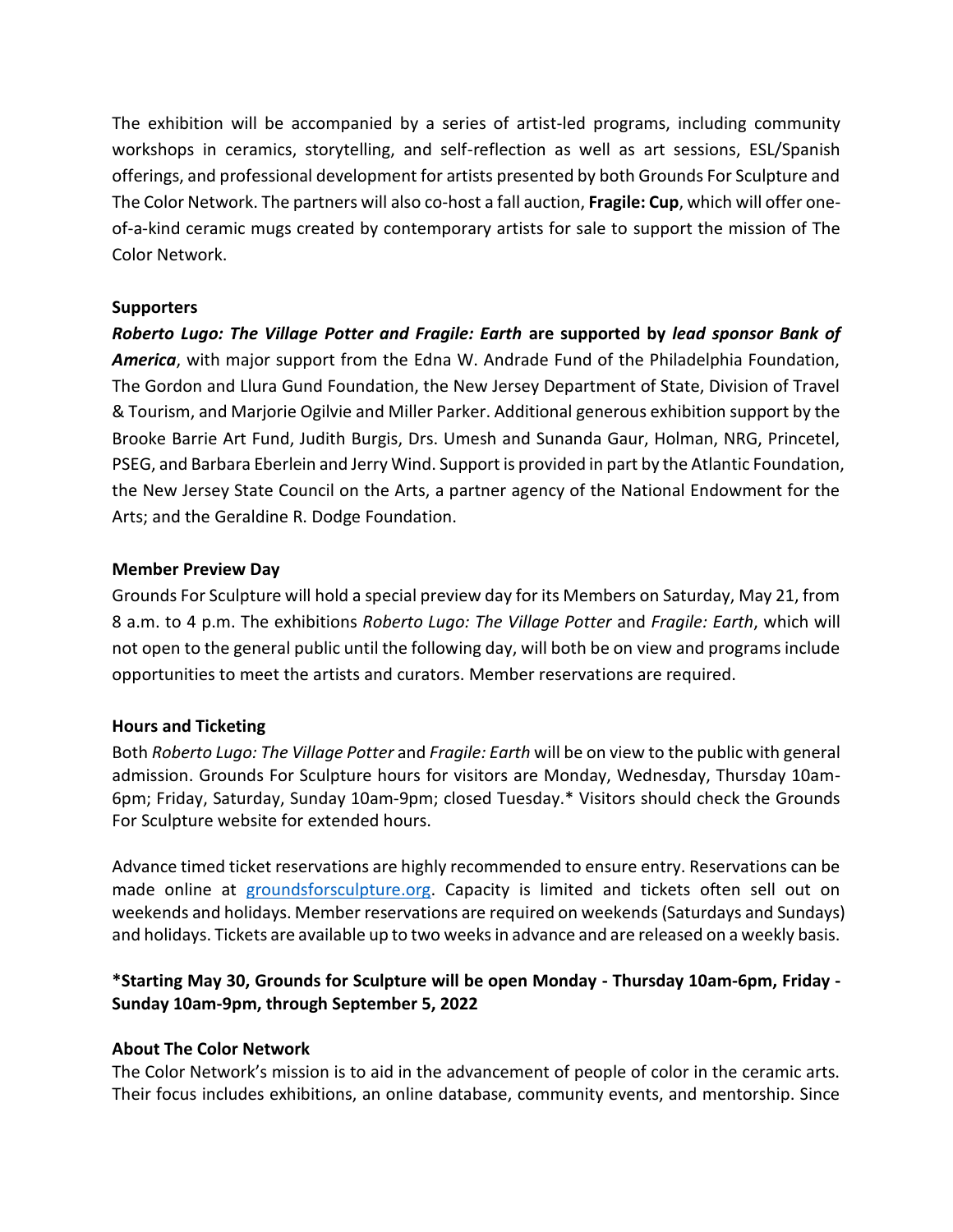The exhibition will be accompanied by a series of artist-led programs, including community workshops in ceramics, storytelling, and self-reflection as well as art sessions, ESL/Spanish offerings, and professional development for artists presented by both Grounds For Sculpture and The Color Network. The partners will also co-host a fall auction, **Fragile: Cup**, which will offer oneof-a-kind ceramic mugs created by contemporary artists for sale to support the mission of The Color Network.

## **Supporters**

*Roberto Lugo: The Village Potter and Fragile: Earth* **are supported by** *lead sponsor Bank of America*, with major support from the Edna W. Andrade Fund of the Philadelphia Foundation, The Gordon and Llura Gund Foundation, the New Jersey Department of State, Division of Travel & Tourism, and Marjorie Ogilvie and Miller Parker. Additional generous exhibition support by the Brooke Barrie Art Fund, Judith Burgis, Drs. Umesh and Sunanda Gaur, Holman, NRG, Princetel, PSEG, and Barbara Eberlein and Jerry Wind. Support is provided in part by the Atlantic Foundation, the New Jersey State Council on the Arts, a partner agency of the National Endowment for the Arts; and the Geraldine R. Dodge Foundation.

## **Member Preview Day**

Grounds For Sculpture will hold a special preview day for its Members on Saturday, May 21, from 8 a.m. to 4 p.m. The exhibitions *Roberto Lugo: The Village Potter* and *Fragile: Earth*, which will not open to the general public until the following day, will both be on view and programs include opportunities to meet the artists and curators. Member reservations are required.

## **Hours and Ticketing**

Both *Roberto Lugo: The Village Potter* and *Fragile: Earth* will be on view to the public with general admission. Grounds For Sculpture hours for visitors are Monday, Wednesday, Thursday 10am-6pm; Friday, Saturday, Sunday 10am-9pm; closed Tuesday.\* Visitors should check the Grounds For Sculpture website for extended hours.

Advance timed ticket reservations are highly recommended to ensure entry. Reservations can be made online at [groundsforsculpture.org.](https://www.groundsforsculpture.org/timed-admission-tickets/) Capacity is limited and tickets often sell out on weekends and holidays. Member reservations are required on weekends (Saturdays and Sundays) and holidays. Tickets are available up to two weeks in advance and are released on a weekly basis.

# **\*Starting May 30, Grounds for Sculpture will be open Monday - Thursday 10am-6pm, Friday - Sunday 10am-9pm, through September 5, 2022**

# **About The Color Network**

The Color Network's mission is to aid in the advancement of people of color in the ceramic arts. Their focus includes exhibitions, an online database, community events, and mentorship. Since